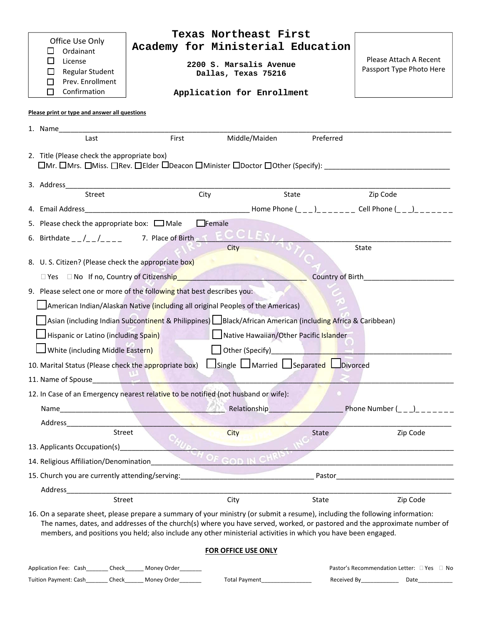| Office Use Only                                                                    | Texas Northeast First<br>Academy for Ministerial Education                                                                                                                                                                                                                                                                                                                   |                                                    |  |  |  |
|------------------------------------------------------------------------------------|------------------------------------------------------------------------------------------------------------------------------------------------------------------------------------------------------------------------------------------------------------------------------------------------------------------------------------------------------------------------------|----------------------------------------------------|--|--|--|
| Ordainant<br>$\sqcup$<br>$\Box$<br>License<br>Regular Student                      | 2200 S. Marsalis Avenue<br>Dallas, Texas 75216                                                                                                                                                                                                                                                                                                                               | Please Attach A Recent<br>Passport Type Photo Here |  |  |  |
| Prev. Enrollment<br>П                                                              |                                                                                                                                                                                                                                                                                                                                                                              |                                                    |  |  |  |
| Confirmation<br>П                                                                  | Application for Enrollment                                                                                                                                                                                                                                                                                                                                                   |                                                    |  |  |  |
| Please print or type and answer all questions                                      |                                                                                                                                                                                                                                                                                                                                                                              |                                                    |  |  |  |
|                                                                                    |                                                                                                                                                                                                                                                                                                                                                                              |                                                    |  |  |  |
| First<br>Last                                                                      | Middle/Maiden<br>Preferred                                                                                                                                                                                                                                                                                                                                                   |                                                    |  |  |  |
| 2. Title (Please check the appropriate box)                                        | □Mr. □Mrs. □Miss. □Rev. □Elder □Deacon □Minister □Doctor □Other (Specify): ___________________________________                                                                                                                                                                                                                                                               |                                                    |  |  |  |
|                                                                                    |                                                                                                                                                                                                                                                                                                                                                                              |                                                    |  |  |  |
| Street                                                                             | City<br>State                                                                                                                                                                                                                                                                                                                                                                | Zip Code                                           |  |  |  |
|                                                                                    |                                                                                                                                                                                                                                                                                                                                                                              |                                                    |  |  |  |
| 5. Please check the appropriate box: $\Box$ Male                                   | $\Box$ Female                                                                                                                                                                                                                                                                                                                                                                |                                                    |  |  |  |
|                                                                                    |                                                                                                                                                                                                                                                                                                                                                                              |                                                    |  |  |  |
|                                                                                    | City                                                                                                                                                                                                                                                                                                                                                                         | <b>State</b>                                       |  |  |  |
| 8. U. S. Citizen? (Please check the appropriate box)                               |                                                                                                                                                                                                                                                                                                                                                                              |                                                    |  |  |  |
| □ Yes □ No If no, Country of Citizenship                                           |                                                                                                                                                                                                                                                                                                                                                                              | Country of Birth <b>Country of Birth</b>           |  |  |  |
| 9. Please select one or more of the following that best describes you:             |                                                                                                                                                                                                                                                                                                                                                                              |                                                    |  |  |  |
| American Indian/Alaskan Native (including all original Peoples of the Americas)    |                                                                                                                                                                                                                                                                                                                                                                              |                                                    |  |  |  |
|                                                                                    | Asian (including Indian Subcontinent & Philippines) Black/African American (including Africa & Caribbean)                                                                                                                                                                                                                                                                    |                                                    |  |  |  |
| Hispanic or Latino (including Spain) Native Hawaiian/Other Pacific Islander        |                                                                                                                                                                                                                                                                                                                                                                              |                                                    |  |  |  |
| White (including Middle Eastern)                                                   | Other (Specify)<br><u>Discrete and the set of the set of the set of the set of the set of the set of the set of the set of the set of the set of the set of the set of the set of the set of the set of the set of the set of the </u>                                                                                                                                       |                                                    |  |  |  |
| 10. Marital Status (Please check the appropriate box)                              | Single Married Separated Divorced                                                                                                                                                                                                                                                                                                                                            |                                                    |  |  |  |
| 11. Name of Spouse                                                                 |                                                                                                                                                                                                                                                                                                                                                                              |                                                    |  |  |  |
| 12. In Case of an Emergency nearest relative to be notified (not husband or wife): |                                                                                                                                                                                                                                                                                                                                                                              |                                                    |  |  |  |
|                                                                                    | Relationship                                                                                                                                                                                                                                                                                                                                                                 | Phone Number ( )                                   |  |  |  |
| Address                                                                            |                                                                                                                                                                                                                                                                                                                                                                              |                                                    |  |  |  |
| Street                                                                             | <b>City</b><br>State                                                                                                                                                                                                                                                                                                                                                         | Zip Code                                           |  |  |  |
| 13. Applicants Occupation(s)                                                       |                                                                                                                                                                                                                                                                                                                                                                              |                                                    |  |  |  |
| 14. Religious Affiliation/Denomination                                             | OF GOD IN C                                                                                                                                                                                                                                                                                                                                                                  |                                                    |  |  |  |
| 15. Church you are currently attending/serving:                                    |                                                                                                                                                                                                                                                                                                                                                                              |                                                    |  |  |  |
| Street                                                                             | City<br>State                                                                                                                                                                                                                                                                                                                                                                | Zip Code                                           |  |  |  |
|                                                                                    | 16. On a separate sheet, please prepare a summary of your ministry (or submit a resume), including the following information:<br>The names, dates, and addresses of the church(s) where you have served, worked, or pastored and the approximate number of<br>members, and positions you held; also include any other ministerial activities in which you have been engaged. |                                                    |  |  |  |
|                                                                                    | <b>FOR OFFICE USE ONLY</b>                                                                                                                                                                                                                                                                                                                                                   |                                                    |  |  |  |
| Money Order_<br>Application Fee: Cash<br>Check                                     |                                                                                                                                                                                                                                                                                                                                                                              | Pastor's Recommendation Letter: □ Yes □ No         |  |  |  |

| <b>Tuition Payment: Cash</b> | Check | Money Order | -otal<br>I Pavment | Received Bv | Date |
|------------------------------|-------|-------------|--------------------|-------------|------|